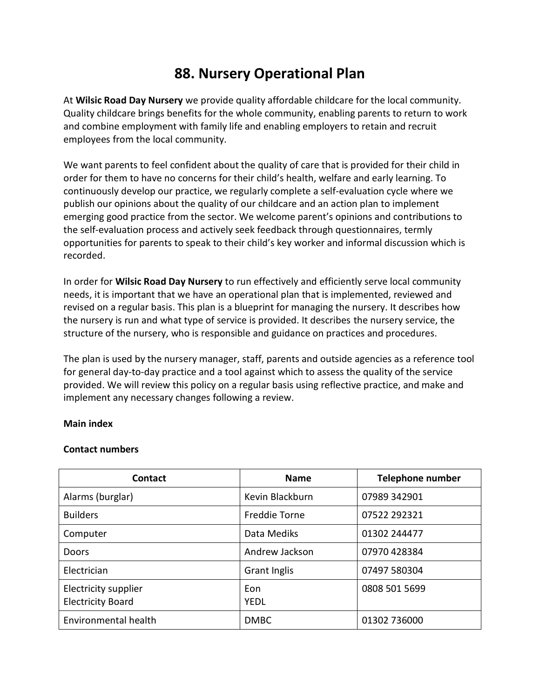## **88. Nursery Operational Plan**

At **Wilsic Road Day Nursery** we provide quality affordable childcare for the local community. Quality childcare brings benefits for the whole community, enabling parents to return to work and combine employment with family life and enabling employers to retain and recruit employees from the local community.

We want parents to feel confident about the quality of care that is provided for their child in order for them to have no concerns for their child's health, welfare and early learning. To continuously develop our practice, we regularly complete a self-evaluation cycle where we publish our opinions about the quality of our childcare and an action plan to implement emerging good practice from the sector. We welcome parent's opinions and contributions to the self-evaluation process and actively seek feedback through questionnaires, termly opportunities for parents to speak to their child's key worker and informal discussion which is recorded.

In order for **Wilsic Road Day Nursery** to run effectively and efficiently serve local community needs, it is important that we have an operational plan that is implemented, reviewed and revised on a regular basis. This plan is a blueprint for managing the nursery. It describes how the nursery is run and what type of service is provided. It describes the nursery service, the structure of the nursery, who is responsible and guidance on practices and procedures.

The plan is used by the nursery manager, staff, parents and outside agencies as a reference tool for general day-to-day practice and a tool against which to assess the quality of the service provided. We will review this policy on a regular basis using reflective practice, and make and implement any necessary changes following a review.

## **Main index**

## **Contact numbers**

| <b>Contact</b>                                   | <b>Name</b>        | <b>Telephone number</b> |
|--------------------------------------------------|--------------------|-------------------------|
| Alarms (burglar)                                 | Kevin Blackburn    | 07989 342901            |
| <b>Builders</b>                                  | Freddie Torne      | 07522 292321            |
| Computer                                         | Data Mediks        | 01302 244477            |
| Doors                                            | Andrew Jackson     | 07970 428384            |
| Electrician                                      | Grant Inglis       | 07497 580304            |
| Electricity supplier<br><b>Electricity Board</b> | Eon<br><b>YEDL</b> | 0808 501 5699           |
| Environmental health                             | <b>DMBC</b>        | 01302 736000            |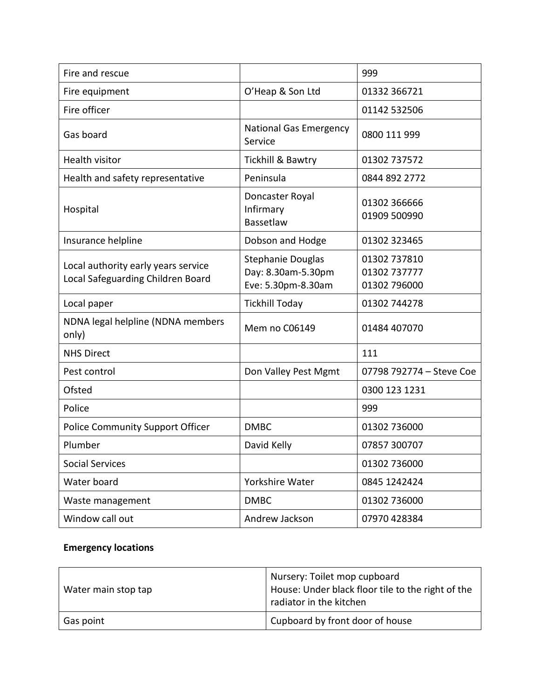| Fire and rescue                                                          |                                                               | 999                                          |
|--------------------------------------------------------------------------|---------------------------------------------------------------|----------------------------------------------|
| Fire equipment                                                           | O'Heap & Son Ltd                                              | 01332 366721                                 |
| Fire officer                                                             |                                                               | 01142 532506                                 |
| Gas board                                                                | <b>National Gas Emergency</b><br>Service                      | 0800 111 999                                 |
| <b>Health visitor</b>                                                    | Tickhill & Bawtry                                             | 01302 737572                                 |
| Health and safety representative                                         | Peninsula                                                     | 0844 892 2772                                |
| Hospital                                                                 | Doncaster Royal<br>Infirmary<br>Bassetlaw                     | 01302 366666<br>01909 500990                 |
| Insurance helpline                                                       | Dobson and Hodge                                              | 01302 323465                                 |
| Local authority early years service<br>Local Safeguarding Children Board | Stephanie Douglas<br>Day: 8.30am-5.30pm<br>Eve: 5.30pm-8.30am | 01302 737810<br>01302 737777<br>01302 796000 |
| Local paper                                                              | <b>Tickhill Today</b>                                         | 01302 744278                                 |
| NDNA legal helpline (NDNA members<br>only)                               | Mem no C06149                                                 | 01484 407070                                 |
| <b>NHS Direct</b>                                                        |                                                               | 111                                          |
| Pest control                                                             | Don Valley Pest Mgmt                                          | 07798 792774 - Steve Coe                     |
| Ofsted                                                                   |                                                               | 0300 123 1231                                |
| Police                                                                   |                                                               | 999                                          |
| <b>Police Community Support Officer</b>                                  | <b>DMBC</b>                                                   | 01302 736000                                 |
| Plumber                                                                  | David Kelly                                                   | 07857 300707                                 |
| <b>Social Services</b>                                                   |                                                               | 01302 736000                                 |
| Water board                                                              | Yorkshire Water                                               | 0845 1242424                                 |
| Waste management                                                         | <b>DMBC</b>                                                   | 01302 736000                                 |
| Window call out                                                          | Andrew Jackson                                                | 07970 428384                                 |

## **Emergency locations**

| Water main stop tap | Nursery: Toilet mop cupboard<br>House: Under black floor tile to the right of the<br>radiator in the kitchen |
|---------------------|--------------------------------------------------------------------------------------------------------------|
| Gas point           | Cupboard by front door of house                                                                              |